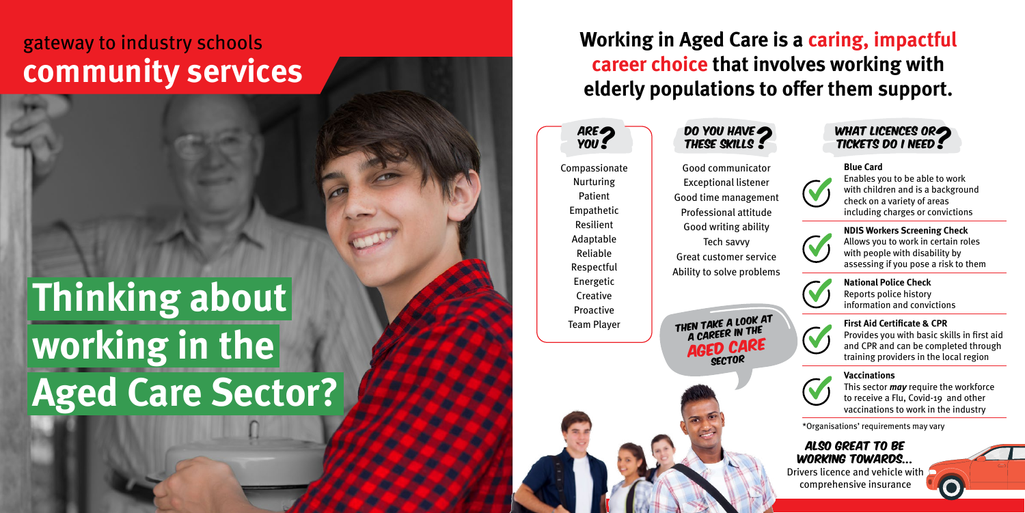# **Thinking about working in the Aged Care Sector?**

## gateway to industry schools **community services**

**Working in Aged Care is a caring, impactful career choice that involves working with elderly populations to offer them support.** 

Compassionate Nurturing Patient Empathetic Resilient Adaptable Reliable Respectful Energetic **Creative** Proactive Team Player

Good communicator Exceptional listener

Good time management Professional attitude Good writing ability Tech savvy Great customer service Ability to solve problems

THEN TAKE A LOOK AT<br>A CAREER IN THE<br>**AGED CARE** 

**Blue Card** Enables you to be able to work with children and is a background check on a variety of areas including charges or convictions



**NDIS Workers Screening Check**  Allows you to work in certain roles with people with disability by assessing if you pose a risk to them



**National Police Check** Reports police history information and convictions



**First Aid Certificate & CPR** Provides you with basic skills in first aid and CPR and can be completed through training providers in the local region



### **Vaccinations**

This sector *may* require the workforce to receive a Flu, Covid-19 and other vaccinations to work in the industry





\*Organisations' requirements may vary

Are You ?

## Also great to be working towards...

Drivers licence and vehicle with comprehensive insurance